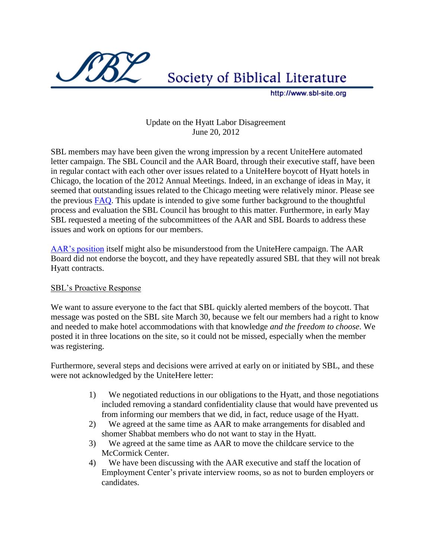

Society of Biblical Literature

http://www.sbl-site.org

## Update on the Hyatt Labor Disagreement June 20, 2012

SBL members may have been given the wrong impression by a recent UniteHere automated letter campaign. The SBL Council and the AAR Board, through their executive staff, have been in regular contact with each other over issues related to a UniteHere boycott of Hyatt hotels in Chicago, the location of the 2012 Annual Meetings. Indeed, in an exchange of ideas in May, it seemed that outstanding issues related to the Chicago meeting were relatively minor. Please see the previous [FAQ.](http://sbl-site.org/assets/pdfs/2012ChicagoHyattFAQ.pdf) This update is intended to give some further background to the thoughtful process and evaluation the SBL Council has brought to this matter. Furthermore, in early May SBL requested a meeting of the subcommittees of the AAR and SBL Boards to address these issues and work on options for our members.

[AAR's position](http://aarweb.org/About_AAR/Board/BoardMin42112.pdf) itself might also be misunderstood from the UniteHere campaign. The AAR Board did not endorse the boycott, and they have repeatedly assured SBL that they will not break Hyatt contracts.

## SBL's Proactive Response

We want to assure everyone to the fact that SBL quickly alerted members of the boycott. That message was posted on the SBL site March 30, because we felt our members had a right to know and needed to make hotel accommodations with that knowledge *and the freedom to choose*. We posted it in three locations on the site, so it could not be missed, especially when the member was registering.

Furthermore, several steps and decisions were arrived at early on or initiated by SBL, and these were not acknowledged by the UniteHere letter:

- 1) We negotiated reductions in our obligations to the Hyatt, and those negotiations included removing a standard confidentiality clause that would have prevented us from informing our members that we did, in fact, reduce usage of the Hyatt.
- 2) We agreed at the same time as AAR to make arrangements for disabled and shomer Shabbat members who do not want to stay in the Hyatt.
- 3) We agreed at the same time as AAR to move the childcare service to the McCormick Center.
- 4) We have been discussing with the AAR executive and staff the location of Employment Center's private interview rooms, so as not to burden employers or candidates.